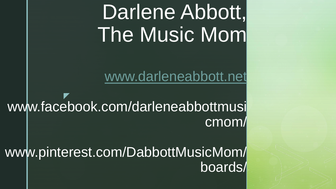# Darlene Abbott, The Music Mom

[www.darleneabbott.net](http://www.darleneabbott.net/)

z www.facebook.com/darleneabbottmusi cmom/

www.pinterest.com/DabbottMusicMom/ boards/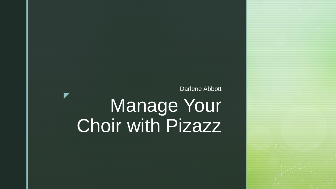Darlene Abbott

## Manage Your Choir with Pizazz

z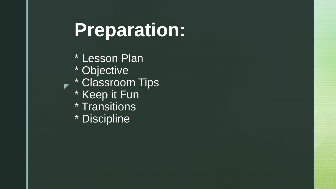## **Preparation:**

► \* Classroom Tips \* Lesson Plan \* Objective \* Keep it Fun \* Transitions \* Discipline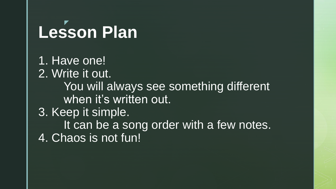#### z **Lesson Plan**

1. Have one! 2. Write it out. You will always see something different when it's written out. 3. Keep it simple. It can be a song order with a few notes. 4. Chaos is not fun!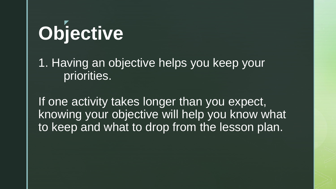### z **Objective**

1. Having an objective helps you keep your priorities.

If one activity takes longer than you expect, knowing your objective will help you know what to keep and what to drop from the lesson plan.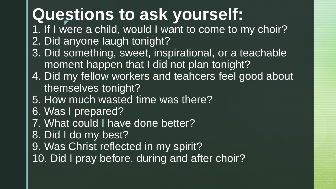#### **Questions to ask yourself:** z

- 1. If I were a child, would I want to come to my choir? 2. Did anyone laugh tonight?
- 3. Did something, sweet, inspirational, or a teachable moment happen that I did not plan tonight?
- 4. Did my fellow workers and teahcers feel good about themselves tonight?
- 5. How much wasted time was there?
- 6. Was I prepared?
- 7. What could I have done better?
- 8. Did I do my best?
- 9. Was Christ reflected in my spirit?
- 10. Did I pray before, during and after choir?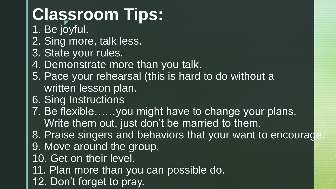#### **Classroom Tips: T**

- 1. Be joyful.
- 2. Sing more, talk less.
- 3. State your rules.
- 4. Demonstrate more than you talk.
- 5. Pace your rehearsal (this is hard to do without a written lesson plan.
- 6. Sing Instructions
- 7. Be flexible……you might have to change your plans. Write them out, just don't be married to them.
- 8. Praise singers and behaviors that your want to encourage 9. Move around the group.
- 
- 10. Get on their level.
- 11. Plan more than you can possible do.
- 12. Don't forget to pray.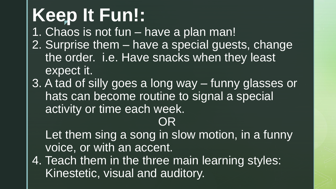## Keep It Fun!:

1. Chaos is not fun – have a plan man!

- 2. Surprise them have a special guests, change the order. i.e. Have snacks when they least expect it.
- 3. A tad of silly goes a long way funny glasses or hats can become routine to signal a special activity or time each week.

## OR

Let them sing a song in slow motion, in a funny voice, or with an accent.

4. Teach them in the three main learning styles: Kinestetic, visual and auditory.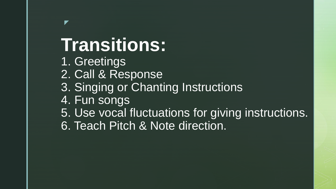# **Transitions:**

1. Greetings

z

- 2. Call & Response
- 3. Singing or Chanting Instructions
- 4. Fun songs
- 5. Use vocal fluctuations for giving instructions.
- 6. Teach Pitch & Note direction.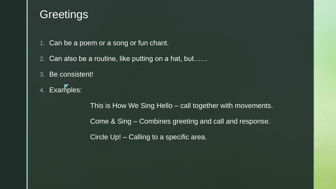### **Greetings**

- 1. Can be a poem or a song or fun chant.
- 2. Can also be a routine, like putting on a hat, but……
- 3. Be consistent!
- $\overline{\mathbf{z}}$ 4. Examples:

This is How We Sing Hello – call together with movements. Come & Sing – Combines greeting and call and response. Circle Up! – Calling to a specific area.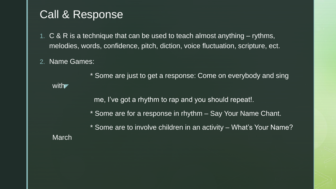#### Call & Response

- 1. C & R is a technique that can be used to teach almost anything rythms, melodies, words, confidence, pitch, diction, voice fluctuation, scripture, ect.
- 2. Name Games:

with

\* Some are just to get a response: Come on everybody and sing

me, I've got a rhythm to rap and you should repeat!.

\* Some are for a response in rhythm – Say Your Name Chant.

\* Some are to involve children in an activity – What's Your Name? March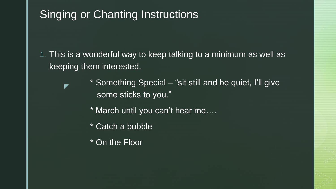### Singing or Chanting Instructions

- 1. This is a wonderful way to keep talking to a minimum as well as keeping them interested.
	- \* Something Special "sit still and be quiet, I'll give some sticks to you."
		- \* March until you can't hear me….
		- \* Catch a bubble
		- \* On the Floor

z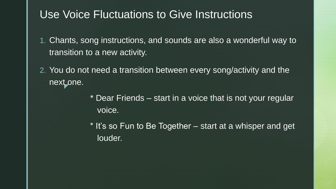### Use Voice Fluctuations to Give Instructions

- 1. Chants, song instructions, and sounds are also a wonderful way to transition to a new activity.
- z 2. You do not need a transition between every song/activity and the next one.
	- \* Dear Friends start in a voice that is not your regular voice.
	- \* It's so Fun to Be Together start at a whisper and get louder.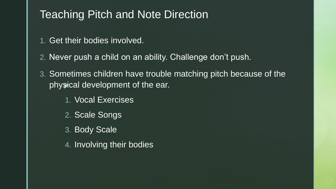### Teaching Pitch and Note Direction

- 1. Get their bodies involved.
- 2. Never push a child on an ability. Challenge don't push.
- physical development of the ear. 3. Sometimes children have trouble matching pitch because of the
	- 1. Vocal Exercises
	- 2. Scale Songs
	- 3. Body Scale
	- 4. Involving their bodies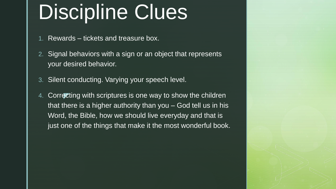# Discipline Clues

1. Rewards – tickets and treasure box.

- 2. Signal behaviors with a sign or an object that represents your desired behavior.
- 3. Silent conducting. Varying your speech level.
- 4. Correcting with scriptures is one way to show the children that there is a higher authority than you – God tell us in his Word, the Bible, how we should live everyday and that is just one of the things that make it the most wonderful book.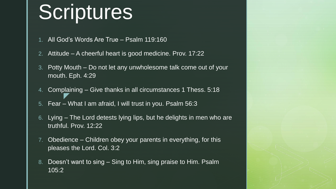## Scriptures

- 1. All God's Words Are True Psalm 119:160
- 2. Attitude A cheerful heart is good medicine. Prov. 17:22
- 3. Potty Mouth Do not let any unwholesome talk come out of your mouth. Eph. 4:29
- z 4. Complaining – Give thanks in all circumstances 1 Thess. 5:18
- 5. Fear What I am afraid, I will trust in you. Psalm 56:3
- 6. Lying The Lord detests lying lips, but he delights in men who are truthful. Prov. 12:22
- 7. Obedience Children obey your parents in everything, for this pleases the Lord. Col. 3:2
- 8. Doesn't want to sing Sing to Him, sing praise to Him. Psalm 105:2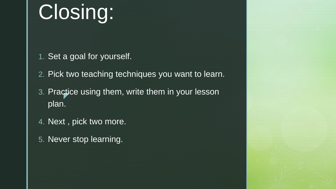# Closing:

- 1. Set a goal for yourself.
- 2. Pick two teaching techniques you want to learn.
- **z** 3. Practice using them, write them in your lesson plan.
- 4. Next , pick two more.
- 5. Never stop learning.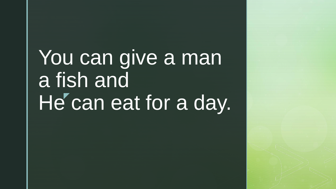# He' can eat for a day. You can give a man a fish and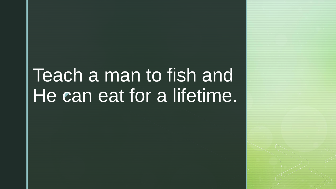### C Teach a man to fish and He can eat for a lifetime.